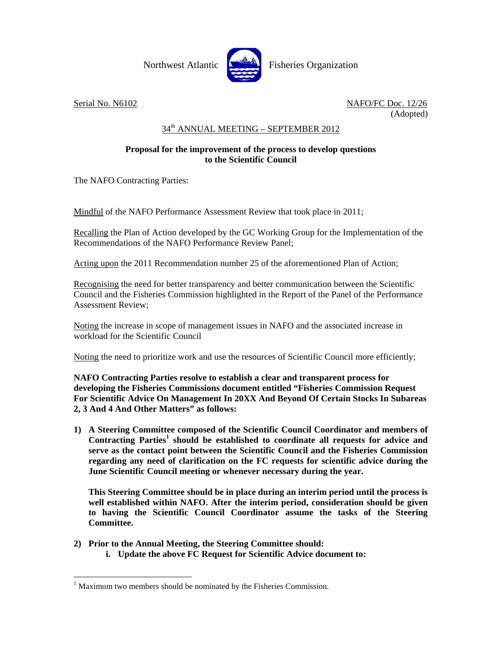

 $\overline{a}$ 

Serial No. N6102 NAFO/FC Doc. 12/26 (Adopted)

## 34th ANNUAL MEETING – SEPTEMBER 2012

## **Proposal for the improvement of the process to develop questions to the Scientific Council**

The NAFO Contracting Parties:

Mindful of the NAFO Performance Assessment Review that took place in 2011;

Recalling the Plan of Action developed by the GC Working Group for the Implementation of the Recommendations of the NAFO Performance Review Panel;

Acting upon the 2011 Recommendation number 25 of the aforementioned Plan of Action;

Recognising the need for better transparency and better communication between the Scientific Council and the Fisheries Commission highlighted in the Report of the Panel of the Performance Assessment Review;

Noting the increase in scope of management issues in NAFO and the associated increase in workload for the Scientific Council

Noting the need to prioritize work and use the resources of Scientific Council more efficiently;

**NAFO Contracting Parties resolve to establish a clear and transparent process for developing the Fisheries Commissions document entitled "Fisheries Commission Request For Scientific Advice On Management In 20XX And Beyond Of Certain Stocks In Subareas 2, 3 And 4 And Other Matters" as follows:** 

**1) A Steering Committee composed of the Scientific Council Coordinator and members of**  Contracting Parties<sup>1</sup> should be established to coordinate all requests for advice and **serve as the contact point between the Scientific Council and the Fisheries Commission regarding any need of clarification on the FC requests for scientific advice during the June Scientific Council meeting or whenever necessary during the year.** 

**This Steering Committee should be in place during an interim period until the process is well established within NAFO. After the interim period, consideration should be given to having the Scientific Council Coordinator assume the tasks of the Steering Committee.** 

- **2) Prior to the Annual Meeting, the Steering Committee should:** 
	- **i. Update the above FC Request for Scientific Advice document to:**

 $<sup>1</sup>$  Maximum two members should be nominated by the Fisheries Commission.</sup>